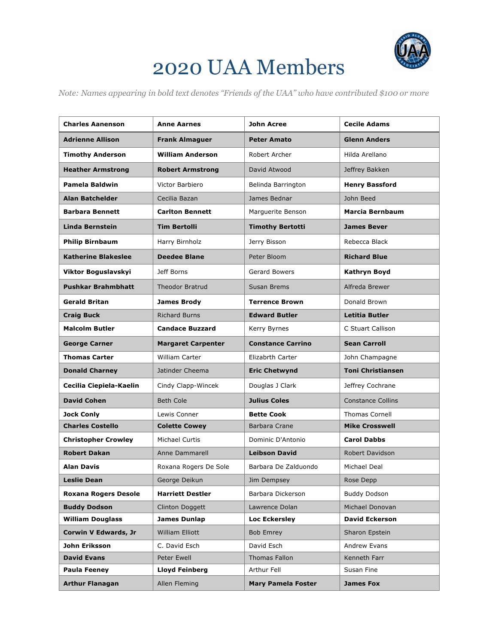

## 2020 UAA Members

*Note: Names appearing in bold text denotes "Friends of the UAA" who have contributed \$100 or more*

| <b>Charles Aanenson</b>     | <b>Anne Aarnes</b>        | <b>John Acree</b>         | <b>Cecile Adams</b>      |
|-----------------------------|---------------------------|---------------------------|--------------------------|
| <b>Adrienne Allison</b>     | <b>Frank Almaguer</b>     | <b>Peter Amato</b>        | <b>Glenn Anders</b>      |
| <b>Timothy Anderson</b>     | <b>William Anderson</b>   | Robert Archer             | Hilda Arellano           |
| <b>Heather Armstrong</b>    | <b>Robert Armstrong</b>   | David Atwood              | Jeffrey Bakken           |
| <b>Pamela Baldwin</b>       | <b>Victor Barbiero</b>    | Belinda Barrington        | <b>Henry Bassford</b>    |
| <b>Alan Batchelder</b>      | Cecilia Bazan             | James Bednar              | John Beed                |
| <b>Barbara Bennett</b>      | <b>Carlton Bennett</b>    | Marguerite Benson         | Marcia Bernbaum          |
| <b>Linda Bernstein</b>      | <b>Tim Bertolli</b>       | <b>Timothy Bertotti</b>   | <b>James Bever</b>       |
| <b>Philip Birnbaum</b>      | Harry Birnholz            | Jerry Bisson              | Rebecca Black            |
| <b>Katherine Blakeslee</b>  | <b>Deedee Blane</b>       | Peter Bloom               | <b>Richard Blue</b>      |
| Viktor Boguslavskyi         | Jeff Borns                | Gerard Bowers             | <b>Kathryn Boyd</b>      |
| <b>Pushkar Brahmbhatt</b>   | <b>Theodor Bratrud</b>    | Susan Brems               | Alfreda Brewer           |
| <b>Gerald Britan</b>        | <b>James Brody</b>        | <b>Terrence Brown</b>     | Donald Brown             |
| <b>Craig Buck</b>           | <b>Richard Burns</b>      | <b>Edward Butler</b>      | <b>Letitia Butler</b>    |
| <b>Malcolm Butler</b>       | <b>Candace Buzzard</b>    | Kerry Byrnes              | C Stuart Callison        |
| <b>George Carner</b>        | <b>Margaret Carpenter</b> | <b>Constance Carrino</b>  | <b>Sean Carroll</b>      |
| <b>Thomas Carter</b>        | <b>William Carter</b>     | Elizabrth Carter          | John Champagne           |
| <b>Donald Charney</b>       | Jatinder Cheema           | <b>Eric Chetwynd</b>      | <b>Toni Christiansen</b> |
| Cecilia Ciepiela-Kaelin     | Cindy Clapp-Wincek        | Douglas J Clark           | Jeffrey Cochrane         |
| <b>David Cohen</b>          | <b>Beth Cole</b>          | <b>Julius Coles</b>       | <b>Constance Collins</b> |
| <b>Jock Conly</b>           | Lewis Conner              | <b>Bette Cook</b>         | <b>Thomas Cornell</b>    |
| <b>Charles Costello</b>     | <b>Colette Cowey</b>      | Barbara Crane             | <b>Mike Crosswell</b>    |
| <b>Christopher Crowley</b>  | Michael Curtis            | Dominic D'Antonio         | <b>Carol Dabbs</b>       |
| <b>Robert Dakan</b>         | Anne Dammarell            | <b>Leibson David</b>      | Robert Davidson          |
| <b>Alan Davis</b>           | Roxana Rogers De Sole     | Barbara De Zalduondo      | Michael Deal             |
| <b>Leslie Dean</b>          | George Deikun             | Jim Dempsey               | Rose Depp                |
| <b>Roxana Rogers Desole</b> | <b>Harriett Destler</b>   | Barbara Dickerson         | <b>Buddy Dodson</b>      |
| <b>Buddy Dodson</b>         | Clinton Doggett           | Lawrence Dolan            | Michael Donovan          |
| <b>William Douglass</b>     | <b>James Dunlap</b>       | <b>Loc Eckersley</b>      | <b>David Eckerson</b>    |
| <b>Corwin V Edwards, Jr</b> | William Elliott           | <b>Bob Emrey</b>          | Sharon Epstein           |
| John Eriksson               | C. David Esch             | David Esch                | Andrew Evans             |
| <b>David Evans</b>          | Peter Ewell               | Thomas Fallon             | Kenneth Farr             |
| <b>Paula Feeney</b>         | <b>Lloyd Feinberg</b>     | Arthur Fell               | Susan Fine               |
| <b>Arthur Flanagan</b>      | Allen Fleming             | <b>Mary Pamela Foster</b> | <b>James Fox</b>         |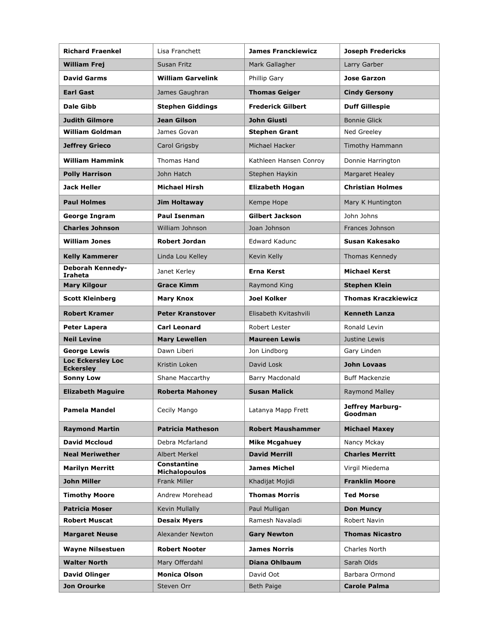| Richard Fraenkel                             | Lisa Franchett                      | <b>James Franckiewicz</b> | <b>Joseph Fredericks</b>    |
|----------------------------------------------|-------------------------------------|---------------------------|-----------------------------|
| <b>William Frej</b>                          | Susan Fritz                         | Mark Gallagher            | Larry Garber                |
| <b>David Garms</b>                           | <b>William Garvelink</b>            | Phillip Gary              | <b>Jose Garzon</b>          |
| <b>Earl Gast</b>                             | James Gaughran                      | <b>Thomas Geiger</b>      | <b>Cindy Gersony</b>        |
| Dale Gibb                                    | <b>Stephen Giddings</b>             | <b>Frederick Gilbert</b>  | <b>Duff Gillespie</b>       |
| <b>Judith Gilmore</b>                        | <b>Jean Gilson</b>                  | John Giusti               | <b>Bonnie Glick</b>         |
| <b>William Goldman</b>                       | James Govan                         | <b>Stephen Grant</b>      | Ned Greeley                 |
| <b>Jeffrey Grieco</b>                        | Carol Grigsby                       | Michael Hacker            | Timothy Hammann             |
| <b>William Hammink</b>                       | <b>Thomas Hand</b>                  | Kathleen Hansen Conroy    | Donnie Harrington           |
| <b>Polly Harrison</b>                        | John Hatch                          | Stephen Haykin            | <b>Margaret Healey</b>      |
| <b>Jack Heller</b>                           | <b>Michael Hirsh</b>                | <b>Elizabeth Hogan</b>    | <b>Christian Holmes</b>     |
| <b>Paul Holmes</b>                           | Jim Holtaway                        | Kempe Hope                | Mary K Huntington           |
| <b>George Ingram</b>                         | <b>Paul Isenman</b>                 | <b>Gilbert Jackson</b>    | John Johns                  |
| <b>Charles Johnson</b>                       | William Johnson                     | Joan Johnson              | Frances Johnson             |
| <b>William Jones</b>                         | <b>Robert Jordan</b>                | <b>Edward Kadunc</b>      | Susan Kakesako              |
| <b>Kelly Kammerer</b>                        | Linda Lou Kelley                    | Kevin Kelly               | Thomas Kennedy              |
| Deborah Kennedy-<br><b>Iraheta</b>           | Janet Kerley                        | Erna Kerst                | <b>Michael Kerst</b>        |
| <b>Mary Kilgour</b>                          | <b>Grace Kimm</b>                   | Raymond King              | <b>Stephen Klein</b>        |
| <b>Scott Kleinberg</b>                       | <b>Mary Knox</b>                    | Joel Kolker               | <b>Thomas Kraczkiewicz</b>  |
| <b>Robert Kramer</b>                         | <b>Peter Kranstover</b>             | Elisabeth Kvitashvili     | <b>Kenneth Lanza</b>        |
| Peter Lapera                                 | <b>Carl Leonard</b>                 | Robert Lester             | Ronald Levin                |
| <b>Neil Levine</b>                           | <b>Mary Lewellen</b>                | <b>Maureen Lewis</b>      | Justine Lewis               |
| <b>George Lewis</b>                          | Dawn Liberi                         | Jon Lindborg              | Gary Linden                 |
| <b>Loc Eckersley Loc</b><br><b>Eckersley</b> | Kristin Loken                       | David Losk                | <b>John Lovaas</b>          |
| <b>Sonny Low</b>                             | Shane Maccarthy                     | Barry Macdonald           | <b>Buff Mackenzie</b>       |
| <b>Elizabeth Maguire</b>                     | <b>Roberta Mahoney</b>              | <b>Susan Malick</b>       | <b>Raymond Malley</b>       |
| <b>Pamela Mandel</b>                         | Cecily Mango                        | Latanya Mapp Frett        | Jeffrey Marburg-<br>Goodman |
| <b>Raymond Martin</b>                        | <b>Patricia Matheson</b>            | <b>Robert Maushammer</b>  | <b>Michael Maxey</b>        |
| <b>David Mccloud</b>                         | Debra Mcfarland                     | <b>Mike Mcgahuey</b>      | Nancy Mckay                 |
| <b>Neal Meriwether</b>                       | <b>Albert Merkel</b>                | <b>David Merrill</b>      | <b>Charles Merritt</b>      |
| <b>Marilyn Merritt</b>                       | Constantine<br><b>Michalopoulos</b> | <b>James Michel</b>       | Virgil Miedema              |
| <b>John Miller</b>                           | <b>Frank Miller</b>                 | Khadijat Mojidi           | <b>Franklin Moore</b>       |
| <b>Timothy Moore</b>                         | Andrew Morehead                     | <b>Thomas Morris</b>      | <b>Ted Morse</b>            |
| <b>Patricia Moser</b>                        | Kevin Mullally                      | Paul Mulligan             | <b>Don Muncy</b>            |
| <b>Robert Muscat</b>                         | <b>Desaix Myers</b>                 | Ramesh Navaladi           | Robert Navin                |
| <b>Margaret Neuse</b>                        | <b>Alexander Newton</b>             | <b>Gary Newton</b>        | <b>Thomas Nicastro</b>      |
| <b>Wayne Nilsestuen</b>                      | <b>Robert Nooter</b>                | <b>James Norris</b>       | Charles North               |
| <b>Walter North</b>                          | Mary Offerdahl                      | Diana Ohlbaum             | Sarah Olds                  |
| <b>David Olinger</b>                         | <b>Monica Olson</b>                 | David Oot                 | Barbara Ormond              |
| <b>Jon Orourke</b>                           | Steven Orr                          | Beth Paige                | <b>Carole Palma</b>         |